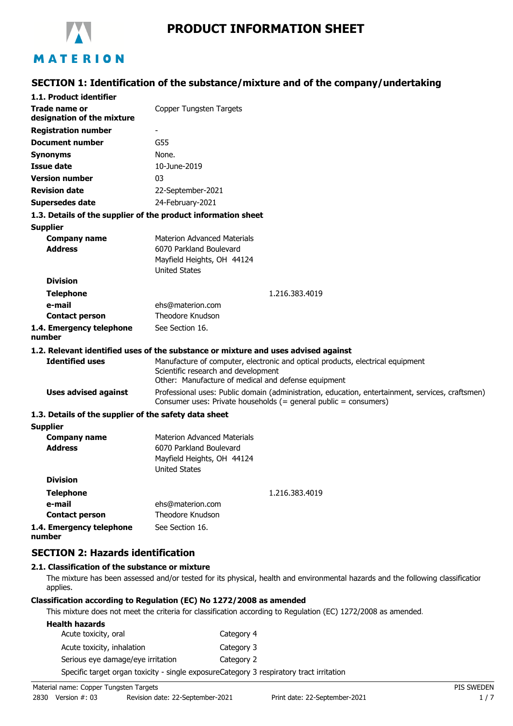

# **PRODUCT INFORMATION SHEET**

# **SECTION 1: Identification of the substance/mixture and of the company/undertaking**

| 1.1. Product identifier                                       |                                                                                                                                                                              |  |
|---------------------------------------------------------------|------------------------------------------------------------------------------------------------------------------------------------------------------------------------------|--|
| <b>Trade name or</b><br>designation of the mixture            | Copper Tungsten Targets                                                                                                                                                      |  |
| <b>Registration number</b>                                    |                                                                                                                                                                              |  |
| Document number                                               | G55                                                                                                                                                                          |  |
| <b>Synonyms</b>                                               | None.                                                                                                                                                                        |  |
| <b>Issue date</b>                                             | 10-June-2019                                                                                                                                                                 |  |
| <b>Version number</b>                                         | 03                                                                                                                                                                           |  |
| <b>Revision date</b>                                          | 22-September-2021                                                                                                                                                            |  |
| <b>Supersedes date</b>                                        | 24-February-2021                                                                                                                                                             |  |
| 1.3. Details of the supplier of the product information sheet |                                                                                                                                                                              |  |
| <b>Supplier</b>                                               |                                                                                                                                                                              |  |
| <b>Company name</b>                                           | <b>Materion Advanced Materials</b>                                                                                                                                           |  |
| <b>Address</b>                                                | 6070 Parkland Boulevard                                                                                                                                                      |  |
|                                                               | Mayfield Heights, OH 44124                                                                                                                                                   |  |
| <b>Division</b>                                               | <b>United States</b>                                                                                                                                                         |  |
|                                                               |                                                                                                                                                                              |  |
| <b>Telephone</b><br>e-mail                                    | 1.216.383.4019                                                                                                                                                               |  |
| <b>Contact person</b>                                         | ehs@materion.com<br>Theodore Knudson                                                                                                                                         |  |
| 1.4. Emergency telephone                                      | See Section 16.                                                                                                                                                              |  |
| number                                                        |                                                                                                                                                                              |  |
|                                                               | 1.2. Relevant identified uses of the substance or mixture and uses advised against                                                                                           |  |
| <b>Identified uses</b>                                        | Manufacture of computer, electronic and optical products, electrical equipment<br>Scientific research and development<br>Other: Manufacture of medical and defense equipment |  |
| <b>Uses advised against</b>                                   | Professional uses: Public domain (administration, education, entertainment, services, craftsmen)<br>Consumer uses: Private households (= general public = consumers)         |  |
| 1.3. Details of the supplier of the safety data sheet         |                                                                                                                                                                              |  |
| <b>Supplier</b>                                               |                                                                                                                                                                              |  |
| <b>Company name</b>                                           | <b>Materion Advanced Materials</b>                                                                                                                                           |  |
| <b>Address</b>                                                | 6070 Parkland Boulevard                                                                                                                                                      |  |
|                                                               | Mayfield Heights, OH 44124<br><b>United States</b>                                                                                                                           |  |
| <b>Division</b>                                               |                                                                                                                                                                              |  |
| <b>Telephone</b>                                              | 1.216.383.4019                                                                                                                                                               |  |
| e-mail                                                        | ehs@materion.com                                                                                                                                                             |  |
| <b>Contact person</b>                                         | Theodore Knudson                                                                                                                                                             |  |
| 1.4. Emergency telephone<br>number                            | See Section 16.                                                                                                                                                              |  |

### **SECTION 2: Hazards identification**

### **2.1. Classification of the substance or mixture**

The mixture has been assessed and/or tested for its physical, health and environmental hazards and the following classification applies.

### **Classification according to Regulation (EC) No 1272/2008 as amended**

This mixture does not meet the criteria for classification according to Regulation (EC) 1272/2008 as amended.

| <b>Health hazards</b>             |                                                                                         |
|-----------------------------------|-----------------------------------------------------------------------------------------|
| Acute toxicity, oral              | Category 4                                                                              |
| Acute toxicity, inhalation        | Category 3                                                                              |
| Serious eye damage/eye irritation | Category 2                                                                              |
|                                   | Specific target organ toxicity - single exposureCategory 3 respiratory tract irritation |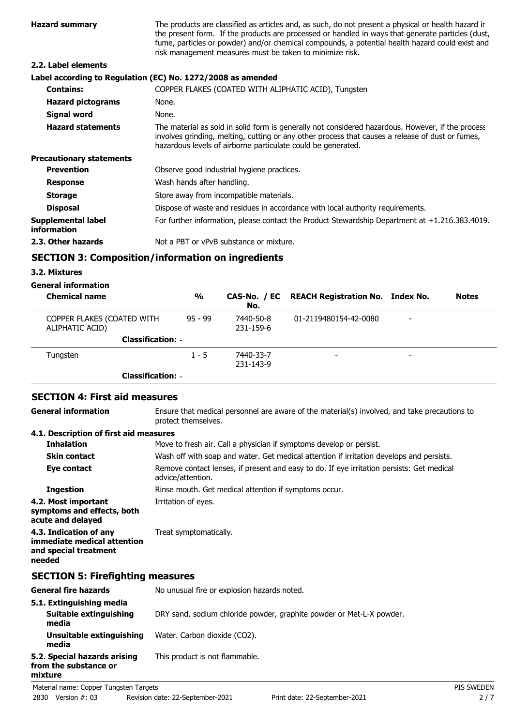| <b>Hazard summary</b>             | The products are classified as articles and, as such, do not present a physical or health hazard ir<br>the present form. If the products are processed or handled in ways that generate particles (dust,<br>fume, particles or powder) and/or chemical compounds, a potential health hazard could exist and<br>risk management measures must be taken to minimize risk. |
|-----------------------------------|-------------------------------------------------------------------------------------------------------------------------------------------------------------------------------------------------------------------------------------------------------------------------------------------------------------------------------------------------------------------------|
| 2.2. Label elements               |                                                                                                                                                                                                                                                                                                                                                                         |
|                                   | Label according to Regulation (EC) No. 1272/2008 as amended                                                                                                                                                                                                                                                                                                             |
| <b>Contains:</b>                  | COPPER FLAKES (COATED WITH ALIPHATIC ACID), Tungsten                                                                                                                                                                                                                                                                                                                    |
| <b>Hazard pictograms</b>          | None.                                                                                                                                                                                                                                                                                                                                                                   |
| Signal word                       | None.                                                                                                                                                                                                                                                                                                                                                                   |
| <b>Hazard statements</b>          | The material as sold in solid form is generally not considered hazardous. However, if the process<br>involves grinding, melting, cutting or any other process that causes a release of dust or fumes,<br>hazardous levels of airborne particulate could be generated.                                                                                                   |
| <b>Precautionary statements</b>   |                                                                                                                                                                                                                                                                                                                                                                         |
| <b>Prevention</b>                 | Observe good industrial hygiene practices.                                                                                                                                                                                                                                                                                                                              |
| <b>Response</b>                   | Wash hands after handling.                                                                                                                                                                                                                                                                                                                                              |
| <b>Storage</b>                    | Store away from incompatible materials.                                                                                                                                                                                                                                                                                                                                 |
| <b>Disposal</b>                   | Dispose of waste and residues in accordance with local authority requirements.                                                                                                                                                                                                                                                                                          |
| Supplemental label<br>information | For further information, please contact the Product Stewardship Department at $+1.216.383.4019$ .                                                                                                                                                                                                                                                                       |
| 2.3. Other hazards                | Not a PBT or vPvB substance or mixture.                                                                                                                                                                                                                                                                                                                                 |

### **SECTION 3: Composition/information on ingredients**

### **3.2. Mixtures**

**mixture**

# **General information**

| <b>Chemical name</b>                          | $\frac{0}{0}$ | No.                    | CAS-No. / EC REACH Registration No. Index No. |   | <b>Notes</b> |
|-----------------------------------------------|---------------|------------------------|-----------------------------------------------|---|--------------|
| COPPER FLAKES (COATED WITH<br>ALIPHATIC ACID) | $95 - 99$     | 7440-50-8<br>231-159-6 | 01-2119480154-42-0080                         | - |              |
| <b>Classification: -</b>                      |               |                        |                                               |   |              |
| Tungsten                                      | $1 - 5$       | 7440-33-7<br>231-143-9 | -                                             | - |              |
| <b>Classification: -</b>                      |               |                        |                                               |   |              |

## **SECTION 4: First aid measures**

Ensure that medical personnel are aware of the material(s) involved, and take precautions to protect themselves. **General information**

### **4.1. Description of first aid measures**

| <b>Inhalation</b>                                                                        | Move to fresh air. Call a physician if symptoms develop or persist.                                            |  |  |
|------------------------------------------------------------------------------------------|----------------------------------------------------------------------------------------------------------------|--|--|
| <b>Skin contact</b>                                                                      | Wash off with soap and water. Get medical attention if irritation develops and persists.                       |  |  |
| Eye contact                                                                              | Remove contact lenses, if present and easy to do. If eye irritation persists: Get medical<br>advice/attention. |  |  |
| <b>Ingestion</b>                                                                         | Rinse mouth. Get medical attention if symptoms occur.                                                          |  |  |
| 4.2. Most important<br>symptoms and effects, both<br>acute and delayed                   | Irritation of eyes.                                                                                            |  |  |
| 4.3. Indication of any<br>immediate medical attention<br>and special treatment<br>needed | Treat symptomatically.                                                                                         |  |  |
| <b>SECTION 5: Firefighting measures</b>                                                  |                                                                                                                |  |  |
| <b>General fire hazards</b>                                                              | No unusual fire or explosion hazards noted.                                                                    |  |  |
| 5.1. Extinguishing media<br>Suitable extinguishing<br>media                              | DRY sand, sodium chloride powder, graphite powder or Met-L-X powder.                                           |  |  |
| Unsuitable extinguishing                                                                 | Water. Carbon dioxide (CO2).                                                                                   |  |  |

**media 5.2. Special hazards arising** This product is not flammable. **from the substance or**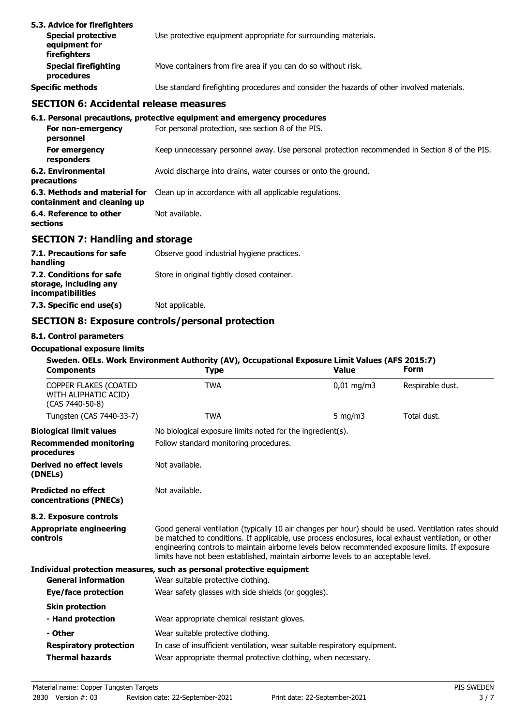| 5.3. Advice for firefighters<br><b>Special protective</b><br>equipment for<br><b>firefighters</b> | Use protective equipment appropriate for surrounding materials.                            |
|---------------------------------------------------------------------------------------------------|--------------------------------------------------------------------------------------------|
| <b>Special firefighting</b><br>procedures                                                         | Move containers from fire area if you can do so without risk.                              |
| <b>Specific methods</b>                                                                           | Use standard firefighting procedures and consider the hazards of other involved materials. |

### **SECTION 6: Accidental release measures**

| 6.1. Personal precautions, protective equipment and emergency procedures                      |
|-----------------------------------------------------------------------------------------------|
| For personal protection, see section 8 of the PIS.                                            |
| Keep unnecessary personnel away. Use personal protection recommended in Section 8 of the PIS. |
| Avoid discharge into drains, water courses or onto the ground.                                |
| Clean up in accordance with all applicable regulations.                                       |
| Not available.                                                                                |
|                                                                                               |

# **SECTION 7: Handling and storage**

| 7.1. Precautions for safe<br>handling                                   | Observe good industrial hygiene practices.  |
|-------------------------------------------------------------------------|---------------------------------------------|
| 7.2. Conditions for safe<br>storage, including any<br>incompatibilities | Store in original tightly closed container. |
| 7.3. Specific end use(s)                                                | Not applicable.                             |

# **SECTION 8: Exposure controls/personal protection**

### **8.1. Control parameters**

### **Occupational exposure limits**

| <b>Components</b>                                                | Sweden. OELs. Work Environment Authority (AV), Occupational Exposure Limit Values (AFS 2015:7)<br><b>Type</b>                                                                                                                                                                                                                                                                                          | <b>Value</b>           | <b>Form</b>      |  |
|------------------------------------------------------------------|--------------------------------------------------------------------------------------------------------------------------------------------------------------------------------------------------------------------------------------------------------------------------------------------------------------------------------------------------------------------------------------------------------|------------------------|------------------|--|
| COPPER FLAKES (COATED<br>WITH ALIPHATIC ACID)<br>(CAS 7440-50-8) | <b>TWA</b>                                                                                                                                                                                                                                                                                                                                                                                             | $0,01 \,\mathrm{mg/m}$ | Respirable dust. |  |
| Tungsten (CAS 7440-33-7)                                         | <b>TWA</b>                                                                                                                                                                                                                                                                                                                                                                                             | 5 $mg/m3$              | Total dust.      |  |
| <b>Biological limit values</b>                                   | No biological exposure limits noted for the ingredient(s).                                                                                                                                                                                                                                                                                                                                             |                        |                  |  |
| <b>Recommended monitoring</b><br>procedures                      | Follow standard monitoring procedures.                                                                                                                                                                                                                                                                                                                                                                 |                        |                  |  |
| <b>Derived no effect levels</b><br>(DNELs)                       | Not available.                                                                                                                                                                                                                                                                                                                                                                                         |                        |                  |  |
| <b>Predicted no effect</b><br>concentrations (PNECs)             | Not available.                                                                                                                                                                                                                                                                                                                                                                                         |                        |                  |  |
| 8.2. Exposure controls                                           |                                                                                                                                                                                                                                                                                                                                                                                                        |                        |                  |  |
| <b>Appropriate engineering</b><br>controls                       | Good general ventilation (typically 10 air changes per hour) should be used. Ventilation rates should<br>be matched to conditions. If applicable, use process enclosures, local exhaust ventilation, or other<br>engineering controls to maintain airborne levels below recommended exposure limits. If exposure<br>limits have not been established, maintain airborne levels to an acceptable level. |                        |                  |  |
|                                                                  | Individual protection measures, such as personal protective equipment                                                                                                                                                                                                                                                                                                                                  |                        |                  |  |
| <b>General information</b>                                       | Wear suitable protective clothing.                                                                                                                                                                                                                                                                                                                                                                     |                        |                  |  |
| Eye/face protection                                              | Wear safety glasses with side shields (or goggles).                                                                                                                                                                                                                                                                                                                                                    |                        |                  |  |
| <b>Skin protection</b>                                           |                                                                                                                                                                                                                                                                                                                                                                                                        |                        |                  |  |
| - Hand protection                                                | Wear appropriate chemical resistant gloves.                                                                                                                                                                                                                                                                                                                                                            |                        |                  |  |
| - Other                                                          | Wear suitable protective clothing.                                                                                                                                                                                                                                                                                                                                                                     |                        |                  |  |
| <b>Respiratory protection</b>                                    | In case of insufficient ventilation, wear suitable respiratory equipment.                                                                                                                                                                                                                                                                                                                              |                        |                  |  |
| <b>Thermal hazards</b>                                           | Wear appropriate thermal protective clothing, when necessary.                                                                                                                                                                                                                                                                                                                                          |                        |                  |  |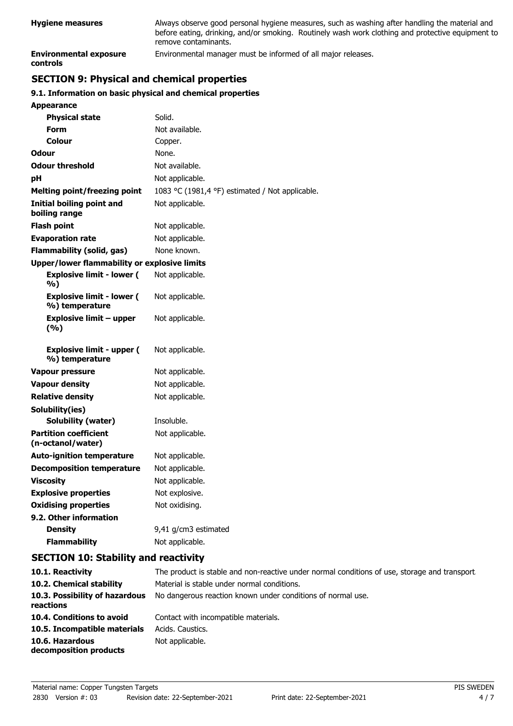| <b>Hygiene measures</b>                   | Always observe good personal hygiene measures, such as washing after handling the material and<br>before eating, drinking, and/or smoking. Routinely wash work clothing and protective equipment to<br>remove contaminants. |
|-------------------------------------------|-----------------------------------------------------------------------------------------------------------------------------------------------------------------------------------------------------------------------------|
| <b>Environmental exposure</b><br>controls | Environmental manager must be informed of all major releases.                                                                                                                                                               |

# **SECTION 9: Physical and chemical properties**

### **9.1. Information on basic physical and chemical properties**

| Appearance                                          |                                                 |  |
|-----------------------------------------------------|-------------------------------------------------|--|
| <b>Physical state</b>                               | Solid.                                          |  |
| Form                                                | Not available.                                  |  |
| Colour                                              | Copper.                                         |  |
| Odour                                               | None.                                           |  |
| <b>Odour threshold</b>                              | Not available.                                  |  |
| рH                                                  | Not applicable.                                 |  |
| Melting point/freezing point                        | 1083 °C (1981,4 °F) estimated / Not applicable. |  |
| Initial boiling point and<br>boiling range          | Not applicable.                                 |  |
| <b>Flash point</b>                                  | Not applicable.                                 |  |
| <b>Evaporation rate</b>                             | Not applicable.                                 |  |
| <b>Flammability (solid, gas)</b>                    | None known.                                     |  |
| <b>Upper/lower flammability or explosive limits</b> |                                                 |  |
| <b>Explosive limit - lower (</b><br>%)              | Not applicable.                                 |  |
| <b>Explosive limit - lower (</b><br>%) temperature  | Not applicable.                                 |  |
| <b>Explosive limit - upper</b><br>(%)               | Not applicable.                                 |  |
| <b>Explosive limit - upper (</b><br>%) temperature  | Not applicable.                                 |  |
| <b>Vapour pressure</b>                              | Not applicable.                                 |  |
| <b>Vapour density</b>                               | Not applicable.                                 |  |
| <b>Relative density</b>                             | Not applicable.                                 |  |
| Solubility(ies)                                     |                                                 |  |
| Solubility (water)                                  | Insoluble.                                      |  |
| <b>Partition coefficient</b><br>(n-octanol/water)   | Not applicable.                                 |  |
| <b>Auto-ignition temperature</b>                    | Not applicable.                                 |  |
| <b>Decomposition temperature</b>                    | Not applicable.                                 |  |
| <b>Viscosity</b>                                    | Not applicable.                                 |  |
| <b>Explosive properties</b>                         | Not explosive.                                  |  |
| <b>Oxidising properties</b>                         | Not oxidising.                                  |  |
| 9.2. Other information                              |                                                 |  |
| <b>Density</b>                                      | 9,41 g/cm3 estimated                            |  |
| <b>Flammability</b>                                 | Not applicable.                                 |  |

## **SECTION 10: Stability and reactivity**

| 10.1. Reactivity                            | The product is stable and non-reactive under normal conditions of use, storage and transport. |
|---------------------------------------------|-----------------------------------------------------------------------------------------------|
| 10.2. Chemical stability                    | Material is stable under normal conditions.                                                   |
| 10.3. Possibility of hazardous<br>reactions | No dangerous reaction known under conditions of normal use.                                   |
| 10.4. Conditions to avoid                   | Contact with incompatible materials.                                                          |
| 10.5. Incompatible materials                | Acids, Caustics,                                                                              |
| 10.6. Hazardous<br>decomposition products   | Not applicable.                                                                               |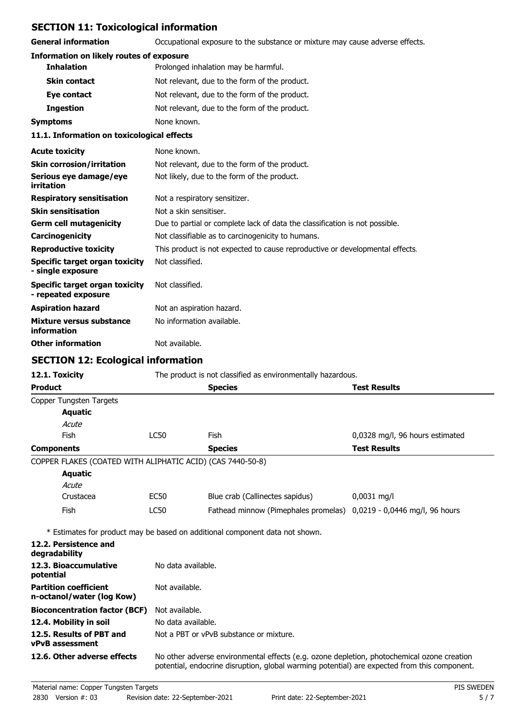## **SECTION 11: Toxicological information**

**General information CCCUPATION** Occupational exposure to the substance or mixture may cause adverse effects.

| <b>Information on likely routes of exposure</b> |  |  |  |  |  |
|-------------------------------------------------|--|--|--|--|--|
|-------------------------------------------------|--|--|--|--|--|

| <b>Inhalation</b>                          | Prolonged inhalation may be harmful.          |
|--------------------------------------------|-----------------------------------------------|
| <b>Skin contact</b>                        | Not relevant, due to the form of the product. |
| Eye contact                                | Not relevant, due to the form of the product. |
| <b>Ingestion</b>                           | Not relevant, due to the form of the product. |
| <b>Symptoms</b>                            | None known.                                   |
| 11.1. Information on toxicological effects |                                               |
| <b>Acute toxicity</b>                      | None known.                                   |
| <b>Skin corrosion/irritation</b>           | Not relevant, due to the form of the product. |
|                                            |                                               |

| Serious eye damage/eye<br>irritation                  | Not likely, due to the form of the product.                                  |
|-------------------------------------------------------|------------------------------------------------------------------------------|
| <b>Respiratory sensitisation</b>                      | Not a respiratory sensitizer.                                                |
| <b>Skin sensitisation</b>                             | Not a skin sensitiser.                                                       |
| <b>Germ cell mutagenicity</b>                         | Due to partial or complete lack of data the classification is not possible.  |
| Carcinogenicity                                       | Not classifiable as to carcinogenicity to humans.                            |
| <b>Reproductive toxicity</b>                          | This product is not expected to cause reproductive or developmental effects. |
| Specific target organ toxicity<br>- single exposure   | Not classified.                                                              |
| Specific target organ toxicity<br>- repeated exposure | Not classified.                                                              |
| <b>Aspiration hazard</b>                              | Not an aspiration hazard.                                                    |
| Mixture versus substance<br>information               | No information available.                                                    |
| <b>Other information</b>                              | Not available.                                                               |

# **SECTION 12: Ecological information**

| 12.1. Toxicity                                             | The product is not classified as environmentally hazardous.                                                                                                                                |                                                                              |                                 |  |
|------------------------------------------------------------|--------------------------------------------------------------------------------------------------------------------------------------------------------------------------------------------|------------------------------------------------------------------------------|---------------------------------|--|
| <b>Product</b>                                             |                                                                                                                                                                                            | <b>Species</b>                                                               | <b>Test Results</b>             |  |
| Copper Tungsten Targets                                    |                                                                                                                                                                                            |                                                                              |                                 |  |
| <b>Aquatic</b>                                             |                                                                                                                                                                                            |                                                                              |                                 |  |
| Acute                                                      |                                                                                                                                                                                            |                                                                              |                                 |  |
| Fish                                                       | <b>LC50</b>                                                                                                                                                                                | Fish                                                                         | 0,0328 mg/l, 96 hours estimated |  |
| <b>Components</b>                                          |                                                                                                                                                                                            | <b>Species</b>                                                               | <b>Test Results</b>             |  |
| COPPER FLAKES (COATED WITH ALIPHATIC ACID) (CAS 7440-50-8) |                                                                                                                                                                                            |                                                                              |                                 |  |
| <b>Aquatic</b>                                             |                                                                                                                                                                                            |                                                                              |                                 |  |
| Acute                                                      |                                                                                                                                                                                            |                                                                              |                                 |  |
| Crustacea                                                  | EC50                                                                                                                                                                                       | Blue crab (Callinectes sapidus)                                              | $0,0031$ mg/l                   |  |
| Fish                                                       | <b>LC50</b>                                                                                                                                                                                | Fathead minnow (Pimephales promelas) 0,0219 - 0,0446 mg/l, 96 hours          |                                 |  |
|                                                            |                                                                                                                                                                                            | * Estimates for product may be based on additional component data not shown. |                                 |  |
| 12.2. Persistence and<br>degradability                     |                                                                                                                                                                                            |                                                                              |                                 |  |
| 12.3. Bioaccumulative<br>potential                         | No data available.                                                                                                                                                                         |                                                                              |                                 |  |
| <b>Partition coefficient</b><br>n-octanol/water (log Kow)  | Not available.                                                                                                                                                                             |                                                                              |                                 |  |
| <b>Bioconcentration factor (BCF)</b>                       | Not available.                                                                                                                                                                             |                                                                              |                                 |  |
| 12.4. Mobility in soil                                     |                                                                                                                                                                                            | No data available.                                                           |                                 |  |
| 12.5. Results of PBT and<br><b>vPvB</b> assessment         |                                                                                                                                                                                            | Not a PBT or vPvB substance or mixture.                                      |                                 |  |
| 12.6. Other adverse effects                                | No other adverse environmental effects (e.g. ozone depletion, photochemical ozone creation<br>potential, endocrine disruption, global warming potential) are expected from this component. |                                                                              |                                 |  |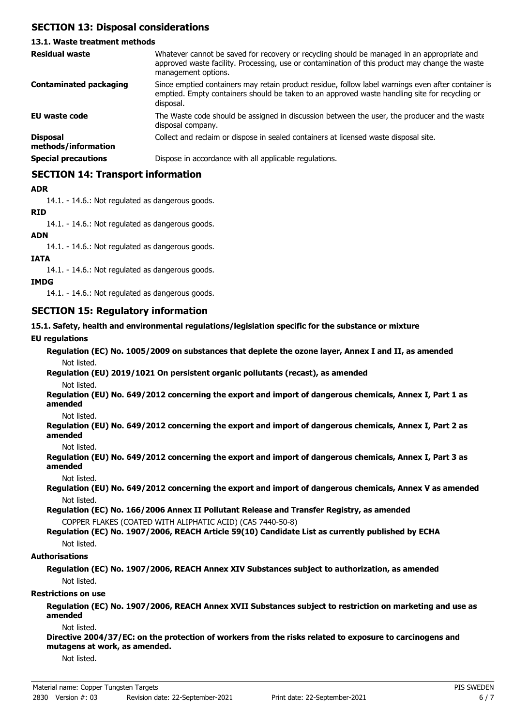## **SECTION 13: Disposal considerations**

### **13.1. Waste treatment methods**

| <b>Residual waste</b>                  | Whatever cannot be saved for recovery or recycling should be managed in an appropriate and<br>approved waste facility. Processing, use or contamination of this product may change the waste<br>management options. |
|----------------------------------------|---------------------------------------------------------------------------------------------------------------------------------------------------------------------------------------------------------------------|
| <b>Contaminated packaging</b>          | Since emptied containers may retain product residue, follow label warnings even after container is<br>emptied. Empty containers should be taken to an approved waste handling site for recycling or<br>disposal.    |
| EU waste code                          | The Waste code should be assigned in discussion between the user, the producer and the waste<br>disposal company.                                                                                                   |
| <b>Disposal</b><br>methods/information | Collect and reclaim or dispose in sealed containers at licensed waste disposal site.                                                                                                                                |
| <b>Special precautions</b>             | Dispose in accordance with all applicable regulations.                                                                                                                                                              |

### **SECTION 14: Transport information**

### **ADR**

14.1. - 14.6.: Not regulated as dangerous goods.

### **RID**

14.1. - 14.6.: Not regulated as dangerous goods.

#### **ADN**

14.1. - 14.6.: Not regulated as dangerous goods.

### **IATA**

14.1. - 14.6.: Not regulated as dangerous goods.

### **IMDG**

14.1. - 14.6.: Not regulated as dangerous goods.

### **SECTION 15: Regulatory information**

#### **15.1. Safety, health and environmental regulations/legislation specific for the substance or mixture**

### **EU regulations**

**Regulation (EC) No. 1005/2009 on substances that deplete the ozone layer, Annex I and II, as amended** Not listed.

# **Regulation (EU) 2019/1021 On persistent organic pollutants (recast), as amended**

Not listed.

**Regulation (EU) No. 649/2012 concerning the export and import of dangerous chemicals, Annex I, Part 1 as amended**

Not listed.

**Regulation (EU) No. 649/2012 concerning the export and import of dangerous chemicals, Annex I, Part 2 as amended**

Not listed.

**Regulation (EU) No. 649/2012 concerning the export and import of dangerous chemicals, Annex I, Part 3 as amended**

Not listed.

**Regulation (EU) No. 649/2012 concerning the export and import of dangerous chemicals, Annex V as amended** Not listed.

**Regulation (EC) No. 166/2006 Annex II Pollutant Release and Transfer Registry, as amended** COPPER FLAKES (COATED WITH ALIPHATIC ACID) (CAS 7440-50-8)

### **Regulation (EC) No. 1907/2006, REACH Article 59(10) Candidate List as currently published by ECHA** Not listed.

#### **Authorisations**

**Regulation (EC) No. 1907/2006, REACH Annex XIV Substances subject to authorization, as amended** Not listed.

#### **Restrictions on use**

**Regulation (EC) No. 1907/2006, REACH Annex XVII Substances subject to restriction on marketing and use as amended**

Not listed.

**Directive 2004/37/EC: on the protection of workers from the risks related to exposure to carcinogens and mutagens at work, as amended.**

Not listed.